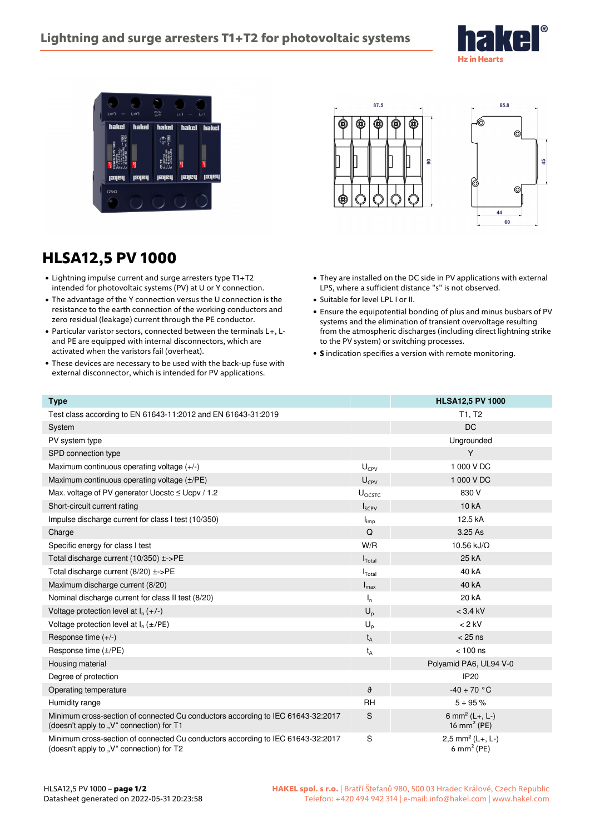







## *HLSA12,5 PV 1000*

- *Lightning impulse current and surge arresters type T1+T2 intended for photovoltaic systems (PV) at U or Y connection.*
- *The advantage of the Y connection versus the U connection is the resistance to the earth connection of the working conductors and zero residual (leakage) current through the PE conductor.*
- *Particular varistor sectors, connected between the terminals L+, Land PE are equipped with internal disconnectors, which are activated when the varistors fail (overheat).*
- *These devices are necessary to be used with the back-up fuse with external disconnector, which is intended for PV applications.*
- *They are installed on the DC side in PV applications with external LPS, where a sufficient distance "s" is not observed.*
- *Suitable for level LPL I or II.*
- *Ensure the equipotential bonding of plus and minus busbars of PV systems and the elimination of transient overvoltage resulting from the atmospheric discharges (including direct lightning strike to the PV system) or switching processes.*
- *S indication specifies a version with remote monitoring.*

| <b>Type</b>                                                                                                                 |                    | <b>HLSA12,5 PV 1000</b>                                               |
|-----------------------------------------------------------------------------------------------------------------------------|--------------------|-----------------------------------------------------------------------|
| Test class according to EN 61643-11:2012 and EN 61643-31:2019                                                               |                    | T1, T2                                                                |
| System                                                                                                                      |                    | <b>DC</b>                                                             |
| PV system type                                                                                                              |                    | Ungrounded                                                            |
| SPD connection type                                                                                                         |                    | Y                                                                     |
| Maximum continuous operating voltage (+/-)                                                                                  | $U_{CPV}$          | 1 000 V DC                                                            |
| Maximum continuous operating voltage (±/PE)                                                                                 | $U_{CPV}$          | 1 000 V DC                                                            |
| Max. voltage of PV generator Uocstc ≤ Ucpv / 1.2                                                                            | U <sub>OCSTC</sub> | 830 V                                                                 |
| Short-circuit current rating                                                                                                | $I_{SCPV}$         | <b>10 kA</b>                                                          |
| Impulse discharge current for class I test (10/350)                                                                         | $I_{imp}$          | 12.5 kA                                                               |
| Charge                                                                                                                      | Q                  | $3.25$ As                                                             |
| Specific energy for class I test                                                                                            | W/R                | 10.56 kJ/ $\Omega$                                                    |
| Total discharge current (10/350) ±->PE                                                                                      | $I_{\text{Total}}$ | 25 kA                                                                 |
| Total discharge current (8/20) ±->PE                                                                                        | $I_{\text{Total}}$ | 40 kA                                                                 |
| Maximum discharge current (8/20)                                                                                            | $I_{\text{max}}$   | 40 kA                                                                 |
| Nominal discharge current for class II test (8/20)                                                                          | $I_n$              | 20 kA                                                                 |
| Voltage protection level at $I_n (+/-)$                                                                                     | $U_p$              | $<$ 3.4 kV                                                            |
| Voltage protection level at $I_n(\pm$ /PE)                                                                                  | $U_{p}$            | $< 2$ kV                                                              |
| Response time $(+/-)$                                                                                                       | $t_{\rm A}$        | $< 25$ ns                                                             |
| Response time (±/PE)                                                                                                        | $t_{A}$            | $< 100$ ns                                                            |
| Housing material                                                                                                            |                    | Polyamid PA6, UL94 V-0                                                |
| Degree of protection                                                                                                        |                    | <b>IP20</b>                                                           |
| Operating temperature                                                                                                       | θ                  | $-40 \div 70$ °C                                                      |
| Humidity range                                                                                                              | <b>RH</b>          | $5 \div 95 \%$                                                        |
| Minimum cross-section of connected Cu conductors according to IEC 61643-32:2017<br>(doesn't apply to "V" connection) for T1 | S                  | 6 mm <sup>2</sup> (L <sub>+</sub> , L-)<br>16 mm <sup>2</sup> (PE)    |
| Minimum cross-section of connected Cu conductors according to IEC 61643-32:2017<br>(doesn't apply to "V" connection) for T2 | S                  | $2,5$ mm <sup>2</sup> (L <sub>+</sub> , L-)<br>6 mm <sup>2</sup> (PE) |